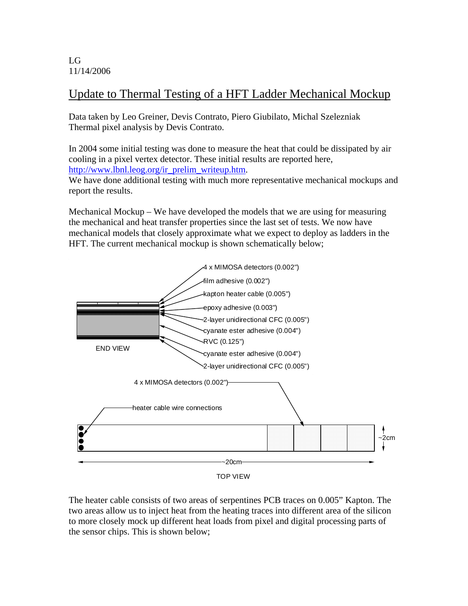LG 11/14/2006

## Update to Thermal Testing of a HFT Ladder Mechanical Mockup

Data taken by Leo Greiner, Devis Contrato, Piero Giubilato, Michal Szelezniak Thermal pixel analysis by Devis Contrato.

In 2004 some initial testing was done to measure the heat that could be dissipated by air cooling in a pixel vertex detector. These initial results are reported here, http://www.lbnl.leog.org/ir\_prelim\_writeup.htm.

We have done additional testing with much more representative mechanical mockups and report the results.

Mechanical Mockup – We have developed the models that we are using for measuring the mechanical and heat transfer properties since the last set of tests. We now have mechanical models that closely approximate what we expect to deploy as ladders in the HFT. The current mechanical mockup is shown schematically below;



The heater cable consists of two areas of serpentines PCB traces on 0.005" Kapton. The two areas allow us to inject heat from the heating traces into different area of the silicon to more closely mock up different heat loads from pixel and digital processing parts of the sensor chips. This is shown below;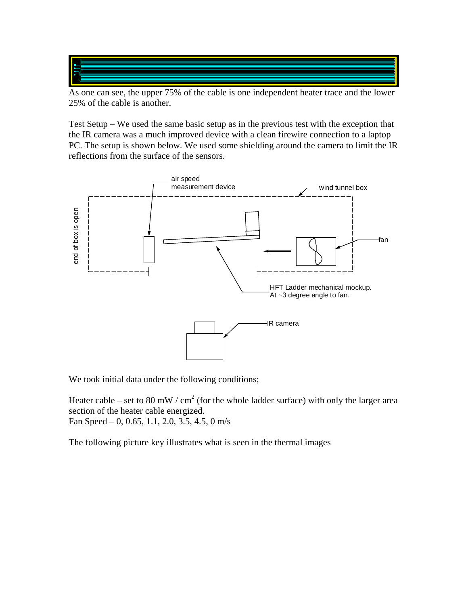As one can see, the upper 75% of the cable is one independent heater trace and the lower 25% of the cable is another.

Test Setup – We used the same basic setup as in the previous test with the exception that the IR camera was a much improved device with a clean firewire connection to a laptop PC. The setup is shown below. We used some shielding around the camera to limit the IR reflections from the surface of the sensors.



We took initial data under the following conditions;

Heater cable – set to 80 mW / cm<sup>2</sup> (for the whole ladder surface) with only the larger area section of the heater cable energized. Fan Speed – 0, 0.65, 1.1, 2.0, 3.5, 4.5, 0 m/s

The following picture key illustrates what is seen in the thermal images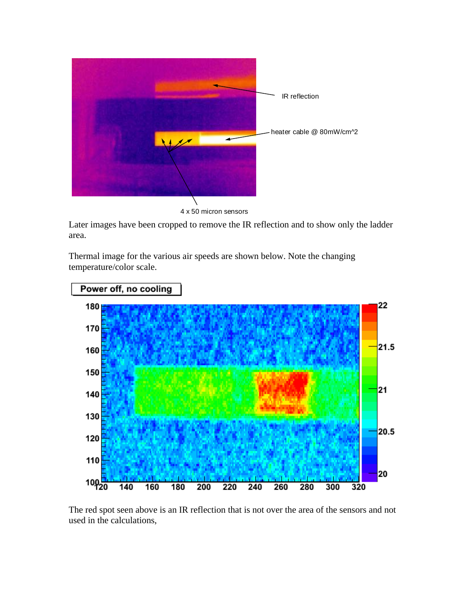

4 x 50 micron sensors

Later images have been cropped to remove the IR reflection and to show only the ladder area.

Thermal image for the various air speeds are shown below. Note the changing temperature/color scale.



The red spot seen above is an IR reflection that is not over the area of the sensors and not used in the calculations,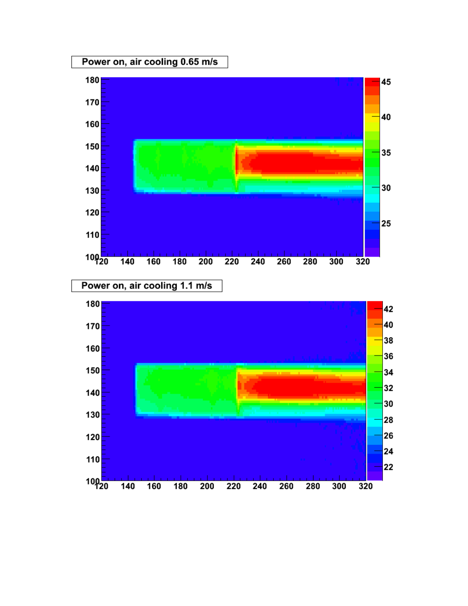



Power on, air cooling 1.1 m/s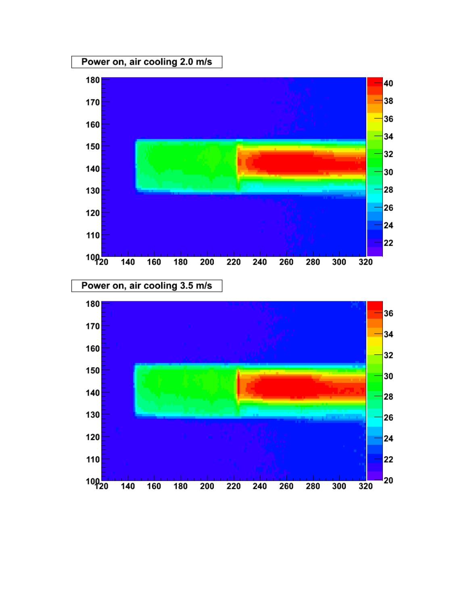



Power on, air cooling 3.5 m/s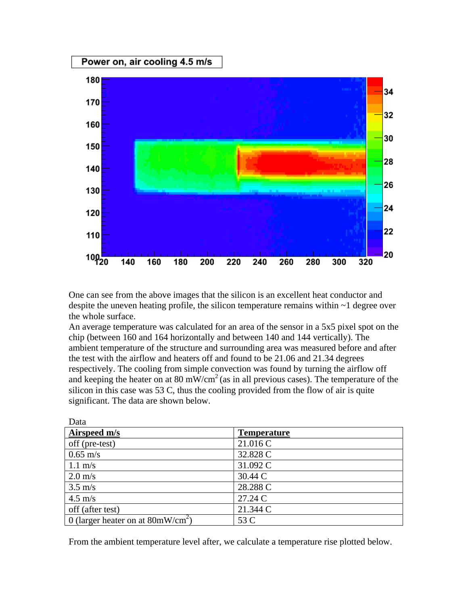

One can see from the above images that the silicon is an excellent heat conductor and despite the uneven heating profile, the silicon temperature remains within  $\sim$  1 degree over the whole surface.

An average temperature was calculated for an area of the sensor in a 5x5 pixel spot on the chip (between 160 and 164 horizontally and between 140 and 144 vertically). The ambient temperature of the structure and surrounding area was measured before and after the test with the airflow and heaters off and found to be 21.06 and 21.34 degrees respectively. The cooling from simple convection was found by turning the airflow off and keeping the heater on at 80 mW/cm<sup>2</sup> (as in all previous cases). The temperature of the silicon in this case was 53 C, thus the cooling provided from the flow of air is quite significant. The data are shown below.

| Data                                         |                    |
|----------------------------------------------|--------------------|
| Airspeed m/s                                 | <b>Temperature</b> |
| off (pre-test)                               | 21.016 C           |
| $0.65 \text{ m/s}$                           | 32.828 C           |
| $1.1 \text{ m/s}$                            | 31.092 C           |
| $2.0 \text{ m/s}$                            | 30.44 C            |
| $3.5 \text{ m/s}$                            | 28.288 C           |
| $4.5 \text{ m/s}$                            | 27.24 C            |
| off (after test)                             | 21.344 C           |
| 0 (larger heater on at $80 \text{mW/cm}^2$ ) | 53 C               |

Data

From the ambient temperature level after, we calculate a temperature rise plotted below.